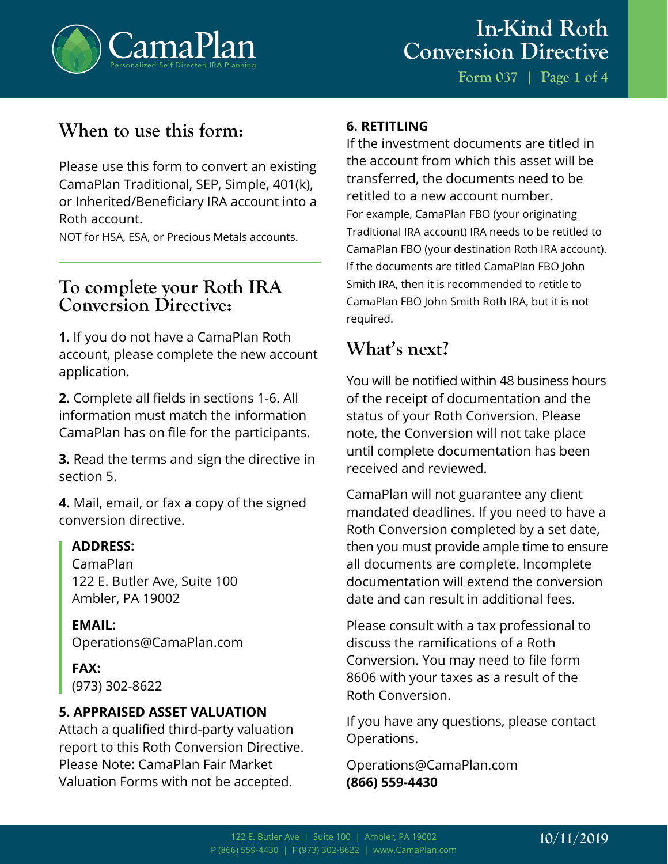

**Form 037 | Page 1 of 4**

## **When to use this form:**

Please use this form to convert an existing CamaPlan Traditional, SEP, Simple, 401(k), or Inherited/Beneficiary IRA account into a Roth account.

NOT for HSA, ESA, or Precious Metals accounts.

### **To complete your Roth IRA Conversion Directive:**

**1.** If you do not have a CamaPlan Roth account, please complete the new account application.

**2.** Complete all fields in sections 1-6. All information must match the information CamaPlan has on file for the participants.

**3.** Read the terms and sign the directive in section 5.

**4.** Mail, email, or fax a copy of the signed conversion directive.

#### **ADDRESS:**

CamaPlan 122 E. Butler Ave, Suite 100 Ambler, PA 19002

**EMAIL:** Operations@CamaPlan.com

**FAX:** (973) 302-8622

#### **5. APPRAISED ASSET VALUATION**

Attach a qualified third-party valuation report to this Roth Conversion Directive. Please Note: CamaPlan Fair Market Valuation Forms with not be accepted.

#### **6. RETITLING**

If the investment documents are titled in the account from which this asset will be transferred, the documents need to be retitled to a new account number. For example, CamaPlan FBO (your originating Traditional IRA account) IRA needs to be retitled to CamaPlan FBO (your destination Roth IRA account). If the documents are titled CamaPlan FBO John Smith IRA, then it is recommended to retitle to CamaPlan FBO John Smith Roth IRA, but it is not required.

### **What's next?**

You will be notified within 48 business hours of the receipt of documentation and the status of your Roth Conversion. Please note, the Conversion will not take place until complete documentation has been received and reviewed.

CamaPlan will not guarantee any client mandated deadlines. If you need to have a Roth Conversion completed by a set date, then you must provide ample time to ensure all documents are complete. Incomplete documentation will extend the conversion date and can result in additional fees.

Please consult with a tax professional to discuss the ramifications of a Roth Conversion. You may need to file form 8606 with your taxes as a result of the Roth Conversion.

If you have any questions, please contact Operations.

Operations@CamaPlan.com **(866) 559-4430**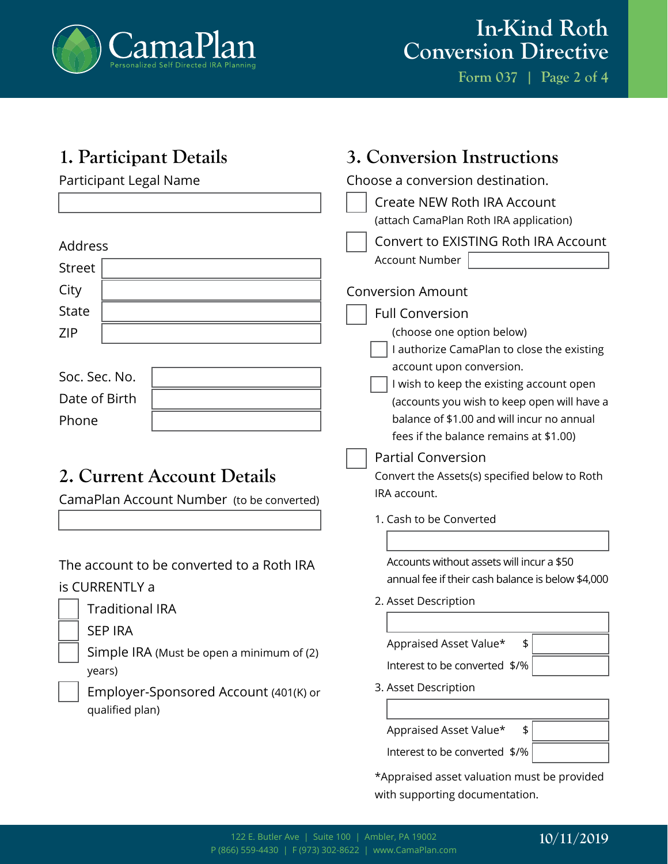

# **In-Kind Roth Conversion Directive**

**Form 037 | Page 2 of 4**

| 1. Participant Details                                                                                             | 3. Conversion Instructions                                                                                                                                        |
|--------------------------------------------------------------------------------------------------------------------|-------------------------------------------------------------------------------------------------------------------------------------------------------------------|
| Participant Legal Name                                                                                             | Choose a conversion destination.                                                                                                                                  |
|                                                                                                                    | <b>Create NEW Roth IRA Account</b>                                                                                                                                |
|                                                                                                                    | (attach CamaPlan Roth IRA application)                                                                                                                            |
| Address                                                                                                            | Convert to EXISTING Roth IRA Account                                                                                                                              |
| <b>Street</b>                                                                                                      | <b>Account Number</b>                                                                                                                                             |
| City                                                                                                               | <b>Conversion Amount</b>                                                                                                                                          |
| <b>State</b>                                                                                                       | <b>Full Conversion</b>                                                                                                                                            |
| ZIP                                                                                                                | (choose one option below)                                                                                                                                         |
| Soc. Sec. No.<br>Date of Birth<br>Phone<br>2. Current Account Details<br>CamaPlan Account Number (to be converted) | I authorize CamaPlan to close the existing<br>account upon conversion.<br>I wish to keep the existing account open<br>(accounts you wish to keep open will have a |
|                                                                                                                    | balance of \$1.00 and will incur no annual                                                                                                                        |
|                                                                                                                    | fees if the balance remains at \$1.00)                                                                                                                            |
|                                                                                                                    | <b>Partial Conversion</b><br>Convert the Assets(s) specified below to Roth<br>IRA account.<br>1. Cash to be Converted                                             |
|                                                                                                                    |                                                                                                                                                                   |
| The account to be converted to a Roth IRA                                                                          | Accounts without assets will incur a \$50<br>annual fee if their cash balance is below \$4,000                                                                    |
| is CURRENTLY a                                                                                                     | 2. Asset Description                                                                                                                                              |
| <b>Traditional IRA</b>                                                                                             |                                                                                                                                                                   |
| <b>SEP IRA</b>                                                                                                     | Appraised Asset Value*<br>\$                                                                                                                                      |
| Simple IRA (Must be open a minimum of (2)                                                                          | Interest to be converted \$/%                                                                                                                                     |
| years)                                                                                                             |                                                                                                                                                                   |
| Employer-Sponsored Account (401(K) or                                                                              | 3. Asset Description                                                                                                                                              |
| qualified plan)                                                                                                    |                                                                                                                                                                   |
|                                                                                                                    | Appraised Asset Value*<br>\$                                                                                                                                      |
|                                                                                                                    | Interest to be converted \$/%                                                                                                                                     |
|                                                                                                                    | *Appraised asset valuation must be provided                                                                                                                       |

with supporting documentation.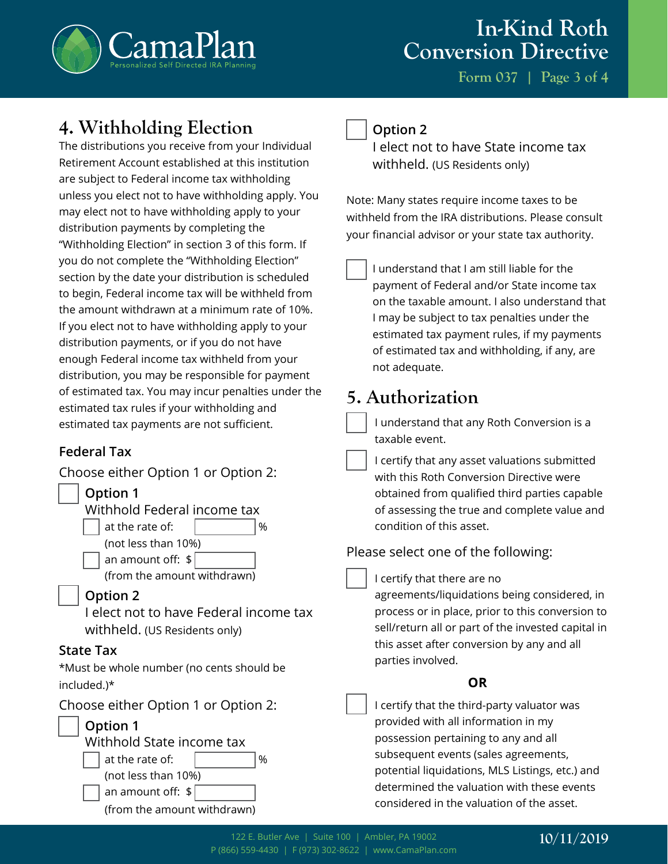

**Form 037 | Page 3 of 4**

### **4. Withholding Election**

The distributions you receive from your Individual Retirement Account established at this institution are subject to Federal income tax withholding unless you elect not to have withholding apply. You may elect not to have withholding apply to your distribution payments by completing the "Withholding Election" in section 3 of this form. If you do not complete the "Withholding Election" section by the date your distribution is scheduled to begin, Federal income tax will be withheld from the amount withdrawn at a minimum rate of 10%. If you elect not to have withholding apply to your distribution payments, or if you do not have enough Federal income tax withheld from your distribution, you may be responsible for payment of estimated tax. You may incur penalties under the estimated tax rules if your withholding and estimated tax payments are not sufficient.

#### **Federal Tax**

Choose either Option 1 or Option 2:



#### **Option 2**

I elect not to have State income tax withheld. (US Residents only)

Note: Many states require income taxes to be withheld from the IRA distributions. Please consult your financial advisor or your state tax authority.

I understand that I am still liable for the payment of Federal and/or State income tax on the taxable amount. I also understand that I may be subject to tax penalties under the estimated tax payment rules, if my payments of estimated tax and withholding, if any, are not adequate.

## **5. Authorization**

I understand that any Roth Conversion is a taxable event.

I certify that any asset valuations submitted with this Roth Conversion Directive were obtained from qualified third parties capable of assessing the true and complete value and condition of this asset.

Please select one of the following:

I certify that there are no

agreements/liquidations being considered, in process or in place, prior to this conversion to sell/return all or part of the invested capital in this asset after conversion by any and all parties involved.

#### **OR**

I certify that the third-party valuator was provided with all information in my possession pertaining to any and all subsequent events (sales agreements, potential liquidations, MLS Listings, etc.) and determined the valuation with these events considered in the valuation of the asset.